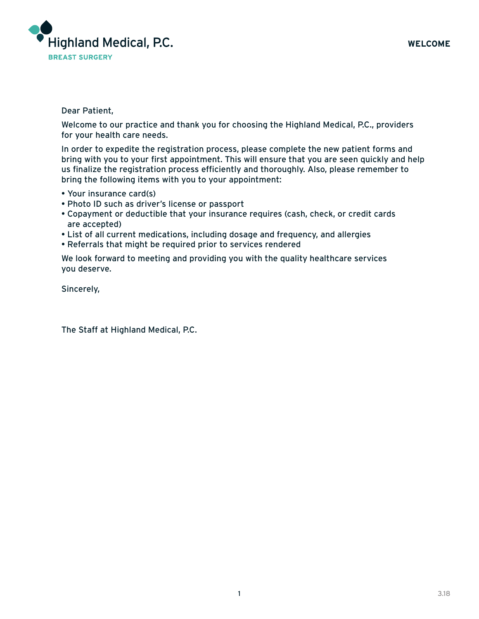

### Dear Patient,

Welcome to our practice and thank you for choosing the Highland Medical, P.C., providers for your health care needs.

In order to expedite the registration process, please complete the new patient forms and bring with you to your first appointment. This will ensure that you are seen quickly and help us finalize the registration process efficiently and thoroughly. Also, please remember to bring the following items with you to your appointment:

- Your insurance card(s)
- Photo ID such as driver's license or passport
- Copayment or deductible that your insurance requires (cash, check, or credit cards are accepted)
- List of all current medications, including dosage and frequency, and allergies
- Referrals that might be required prior to services rendered

We look forward to meeting and providing you with the quality healthcare services you deserve.

Sincerely,

The Staff at Highland Medical, P.C.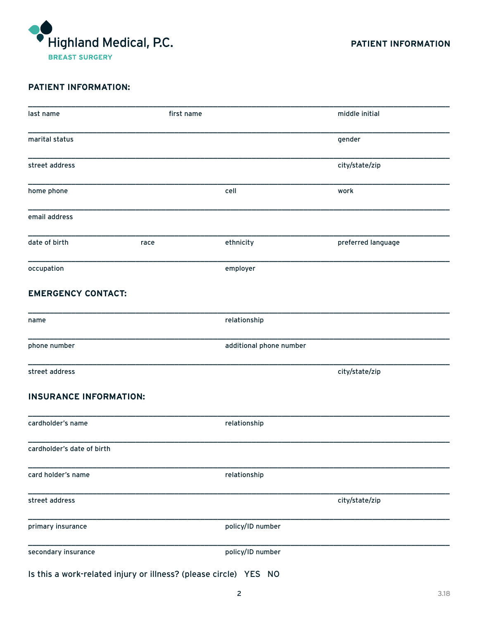

# **PATIENT INFORMATION:**

| last name                                                        | first name |                         | middle initial     |
|------------------------------------------------------------------|------------|-------------------------|--------------------|
| marital status                                                   |            |                         | gender             |
| street address                                                   |            |                         | city/state/zip     |
| home phone                                                       |            | cell                    | work               |
| email address                                                    |            |                         |                    |
| date of birth                                                    | race       | ethnicity               | preferred language |
| occupation                                                       |            | employer                |                    |
| <b>EMERGENCY CONTACT:</b>                                        |            |                         |                    |
| name                                                             |            | relationship            |                    |
| phone number                                                     |            | additional phone number |                    |
| street address                                                   |            |                         | city/state/zip     |
| <b>INSURANCE INFORMATION:</b>                                    |            |                         |                    |
| cardholder's name                                                |            | relationship            |                    |
| cardholder's date of birth                                       |            |                         |                    |
| card holder's name                                               |            | relationship            |                    |
| street address                                                   |            |                         | city/state/zip     |
| primary insurance                                                |            | policy/ID number        |                    |
| secondary insurance                                              |            | policy/ID number        |                    |
| Is this a work-related injury or illness? (please circle) YES NO |            |                         |                    |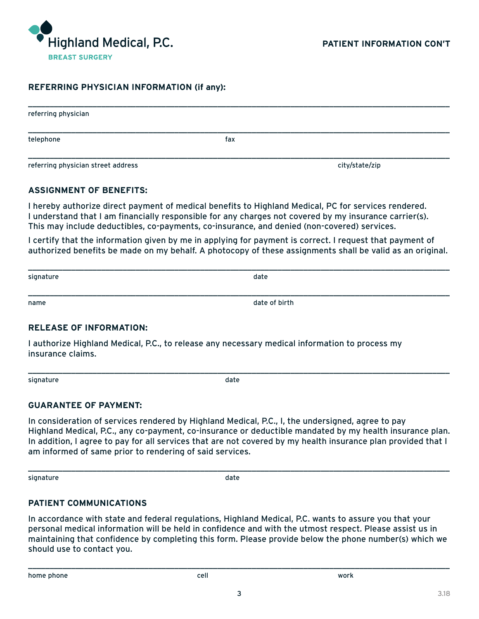

#### **REFERRING PHYSICIAN INFORMATION (if any):**

| referring physician                |     |                |
|------------------------------------|-----|----------------|
| telephone                          | fax |                |
| referring physician street address |     | city/state/zip |

#### **ASSIGNMENT OF BENEFITS:**

I hereby authorize direct payment of medical benefits to Highland Medical, PC for services rendered. I understand that I am financially responsible for any charges not covered by my insurance carrier(s). This may include deductibles, co-payments, co-insurance, and denied (non-covered) services.

I certify that the information given by me in applying for payment is correct. I request that payment of authorized benefits be made on my behalf. A photocopy of these assignments shall be valid as an original.

| signature | date          |  |
|-----------|---------------|--|
|           |               |  |
| name      | date of birth |  |

#### **RELEASE OF INFORMATION:**

I authorize Highland Medical, P.C., to release any necessary medical information to process my insurance claims.

signature date date of the state of the state date of the state date of the state date

\_\_\_\_\_\_\_\_\_\_\_\_\_\_\_\_\_\_\_\_\_\_\_\_\_\_\_\_\_\_\_\_\_\_\_\_\_\_\_\_\_\_\_\_\_\_\_\_\_\_\_\_\_\_\_\_\_\_\_\_\_\_\_\_\_\_\_\_\_\_\_\_\_\_\_\_\_\_\_\_\_\_\_\_\_\_\_\_\_\_\_\_\_\_\_\_\_\_

#### **GUARANTEE OF PAYMENT:**

In consideration of services rendered by Highland Medical, P.C., I, the undersigned, agree to pay Highland Medical, P.C., any co-payment, co-insurance or deductible mandated by my health insurance plan. In addition, I agree to pay for all services that are not covered by my health insurance plan provided that I am informed of same prior to rendering of said services.

signature date date and the state of the state date of the state date of the state date

\_\_\_\_\_\_\_\_\_\_\_\_\_\_\_\_\_\_\_\_\_\_\_\_\_\_\_\_\_\_\_\_\_\_\_\_\_\_\_\_\_\_\_\_\_\_\_\_\_\_\_\_\_\_\_\_\_\_\_\_\_\_\_\_\_\_\_\_\_\_\_\_\_\_\_\_\_\_\_\_\_\_\_\_\_\_\_\_\_\_\_\_\_\_\_\_\_\_

## **PATIENT COMMUNICATIONS**

In accordance with state and federal regulations, Highland Medical, P.C. wants to assure you that your personal medical information will be held in confidence and with the utmost respect. Please assist us in maintaining that confidence by completing this form. Please provide below the phone number(s) which we should use to contact you.

\_\_\_\_\_\_\_\_\_\_\_\_\_\_\_\_\_\_\_\_\_\_\_\_\_\_\_\_\_\_\_\_\_\_\_\_\_\_\_\_\_\_\_\_\_\_\_\_\_\_\_\_\_\_\_\_\_\_\_\_\_\_\_\_\_\_\_\_\_\_\_\_\_\_\_\_\_\_\_\_\_\_\_\_\_\_\_\_\_\_\_\_\_\_\_\_\_\_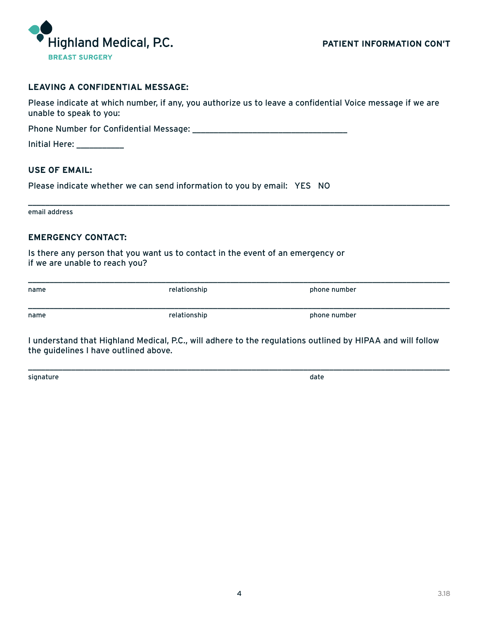

### **LEAVING A CONFIDENTIAL MESSAGE:**

Please indicate at which number, if any, you authorize us to leave a confidential Voice message if we are unable to speak to you:

Phone Number for Confidential Message: \_\_\_\_\_\_\_\_\_\_\_\_\_\_\_\_\_\_\_\_\_\_\_\_\_\_\_\_\_\_\_\_\_\_\_\_

| <b>Initial Here:</b> |  |  |  |  |
|----------------------|--|--|--|--|
|                      |  |  |  |  |

#### **USE OF EMAIL:**

Please indicate whether we can send information to you by email: YES NO

email address

### **EMERGENCY CONTACT:**

Is there any person that you want us to contact in the event of an emergency or if we are unable to reach you?

| name | relationship | phone number |
|------|--------------|--------------|
| name | relationship | phone number |

\_\_\_\_\_\_\_\_\_\_\_\_\_\_\_\_\_\_\_\_\_\_\_\_\_\_\_\_\_\_\_\_\_\_\_\_\_\_\_\_\_\_\_\_\_\_\_\_\_\_\_\_\_\_\_\_\_\_\_\_\_\_\_\_\_\_\_\_\_\_\_\_\_\_\_\_\_\_\_\_\_\_\_\_\_\_\_\_\_\_\_\_\_\_\_\_\_\_

I understand that Highland Medical, P.C., will adhere to the regulations outlined by HIPAA and will follow the guidelines I have outlined above.

\_\_\_\_\_\_\_\_\_\_\_\_\_\_\_\_\_\_\_\_\_\_\_\_\_\_\_\_\_\_\_\_\_\_\_\_\_\_\_\_\_\_\_\_\_\_\_\_\_\_\_\_\_\_\_\_\_\_\_\_\_\_\_\_\_\_\_\_\_\_\_\_\_\_\_\_\_\_\_\_\_\_\_\_\_\_\_\_\_\_\_\_\_\_\_\_\_\_

signature date date of the state of the state of the state of the state of the state of the state of the state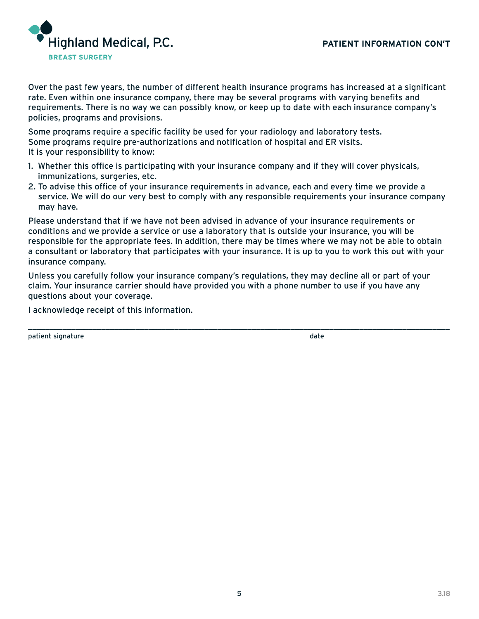

Over the past few years, the number of different health insurance programs has increased at a significant rate. Even within one insurance company, there may be several programs with varying benefits and requirements. There is no way we can possibly know, or keep up to date with each insurance company's policies, programs and provisions.

Some programs require a specific facility be used for your radiology and laboratory tests. Some programs require pre-authorizations and notification of hospital and ER visits. It is your responsibility to know:

- 1. Whether this office is participating with your insurance company and if they will cover physicals, immunizations, surgeries, etc.
- 2. To advise this office of your insurance requirements in advance, each and every time we provide a service. We will do our very best to comply with any responsible requirements your insurance company may have.

Please understand that if we have not been advised in advance of your insurance requirements or conditions and we provide a service or use a laboratory that is outside your insurance, you will be responsible for the appropriate fees. In addition, there may be times where we may not be able to obtain a consultant or laboratory that participates with your insurance. It is up to you to work this out with your insurance company.

Unless you carefully follow your insurance company's regulations, they may decline all or part of your claim. Your insurance carrier should have provided you with a phone number to use if you have any questions about your coverage.

\_\_\_\_\_\_\_\_\_\_\_\_\_\_\_\_\_\_\_\_\_\_\_\_\_\_\_\_\_\_\_\_\_\_\_\_\_\_\_\_\_\_\_\_\_\_\_\_\_\_\_\_\_\_\_\_\_\_\_\_\_\_\_\_\_\_\_\_\_\_\_\_\_\_\_\_\_\_\_\_\_\_\_\_\_\_\_\_\_\_\_\_\_\_\_\_\_\_

I acknowledge receipt of this information.

patient signature date date of the state of the state of the state of the state of the state of the state of the state of the state of the state of the state of the state of the state of the state of the state of the state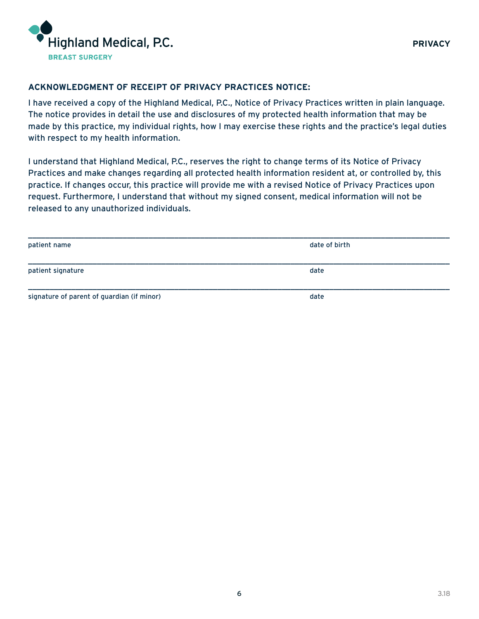

## **ACKNOWLEDGMENT OF RECEIPT OF PRIVACY PRACTICES NOTICE:**

I have received a copy of the Highland Medical, P.C., Notice of Privacy Practices written in plain language. The notice provides in detail the use and disclosures of my protected health information that may be made by this practice, my individual rights, how I may exercise these rights and the practice's legal duties with respect to my health information.

I understand that Highland Medical, P.C., reserves the right to change terms of its Notice of Privacy Practices and make changes regarding all protected health information resident at, or controlled by, this practice. If changes occur, this practice will provide me with a revised Notice of Privacy Practices upon request. Furthermore, I understand that without my signed consent, medical information will not be released to any unauthorized individuals.

| patient name                               | date of birth |
|--------------------------------------------|---------------|
|                                            |               |
| patient signature                          | date          |
|                                            |               |
| signature of parent of guardian (if minor) | date          |
|                                            |               |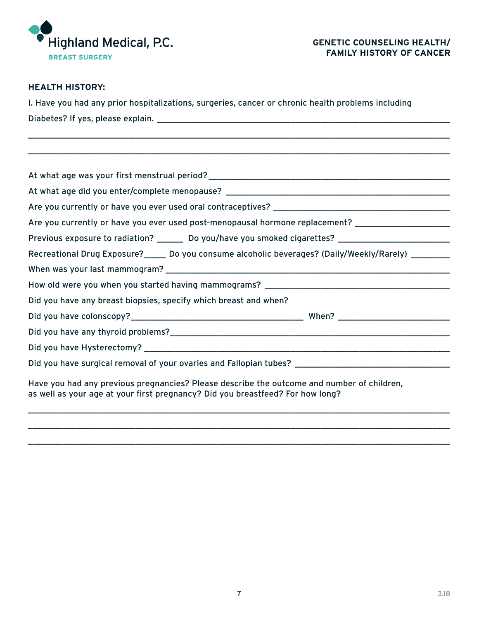

# **HEALTH HISTORY:**

| I. Have you had any prior hospitalizations, surgeries, cancer or chronic health problems including |  |  |
|----------------------------------------------------------------------------------------------------|--|--|
| Diabetes? If yes, please explain.                                                                  |  |  |

\_\_\_\_\_\_\_\_\_\_\_\_\_\_\_\_\_\_\_\_\_\_\_\_\_\_\_\_\_\_\_\_\_\_\_\_\_\_\_\_\_\_\_\_\_\_\_\_\_\_\_\_\_\_\_\_\_\_\_\_\_\_\_\_\_\_\_\_\_\_\_\_\_\_\_\_\_\_\_\_\_\_\_\_\_\_\_\_\_\_\_\_\_\_\_\_\_\_ \_\_\_\_\_\_\_\_\_\_\_\_\_\_\_\_\_\_\_\_\_\_\_\_\_\_\_\_\_\_\_\_\_\_\_\_\_\_\_\_\_\_\_\_\_\_\_\_\_\_\_\_\_\_\_\_\_\_\_\_\_\_\_\_\_\_\_\_\_\_\_\_\_\_\_\_\_\_\_\_\_\_\_\_\_\_\_\_\_\_\_\_\_\_\_\_\_\_

| Are you currently or have you ever used post-menopausal hormone replacement? ______________________                                                                          |  |  |  |
|------------------------------------------------------------------------------------------------------------------------------------------------------------------------------|--|--|--|
| Previous exposure to radiation? ________ Do you/have you smoked cigarettes? ________________________                                                                         |  |  |  |
| Recreational Drug Exposure?_____ Do you consume alcoholic beverages? (Daily/Weekly/Rarely) ________                                                                          |  |  |  |
|                                                                                                                                                                              |  |  |  |
|                                                                                                                                                                              |  |  |  |
| Did you have any breast biopsies, specify which breast and when?                                                                                                             |  |  |  |
|                                                                                                                                                                              |  |  |  |
|                                                                                                                                                                              |  |  |  |
|                                                                                                                                                                              |  |  |  |
| Did you have surgical removal of your ovaries and Fallopian tubes? _________________________________                                                                         |  |  |  |
| Have you had any previous pregnancies? Please describe the outcome and number of children,<br>as well as your age at your first pregnancy? Did you breastfeed? For how long? |  |  |  |

\_\_\_\_\_\_\_\_\_\_\_\_\_\_\_\_\_\_\_\_\_\_\_\_\_\_\_\_\_\_\_\_\_\_\_\_\_\_\_\_\_\_\_\_\_\_\_\_\_\_\_\_\_\_\_\_\_\_\_\_\_\_\_\_\_\_\_\_\_\_\_\_\_\_\_\_\_\_\_\_\_\_\_\_\_\_\_\_\_\_\_\_\_\_\_\_\_\_ \_\_\_\_\_\_\_\_\_\_\_\_\_\_\_\_\_\_\_\_\_\_\_\_\_\_\_\_\_\_\_\_\_\_\_\_\_\_\_\_\_\_\_\_\_\_\_\_\_\_\_\_\_\_\_\_\_\_\_\_\_\_\_\_\_\_\_\_\_\_\_\_\_\_\_\_\_\_\_\_\_\_\_\_\_\_\_\_\_\_\_\_\_\_\_\_\_\_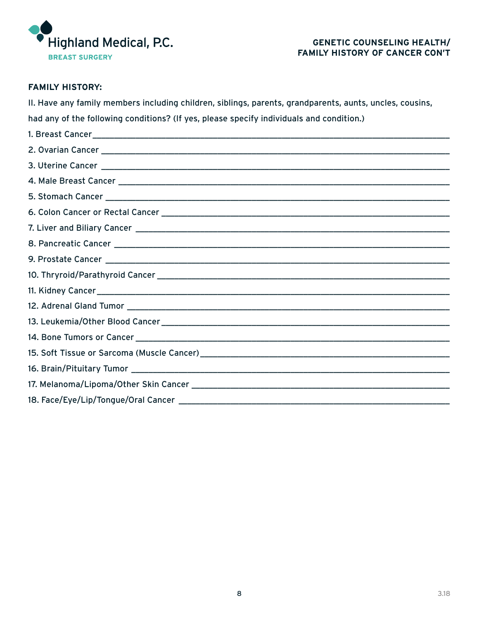

## **FAMILY HISTORY:**

II. Have any family members including children, siblings, parents, grandparents, aunts, uncles, cousins,

had any of the following conditions? (If yes, please specify individuals and condition.)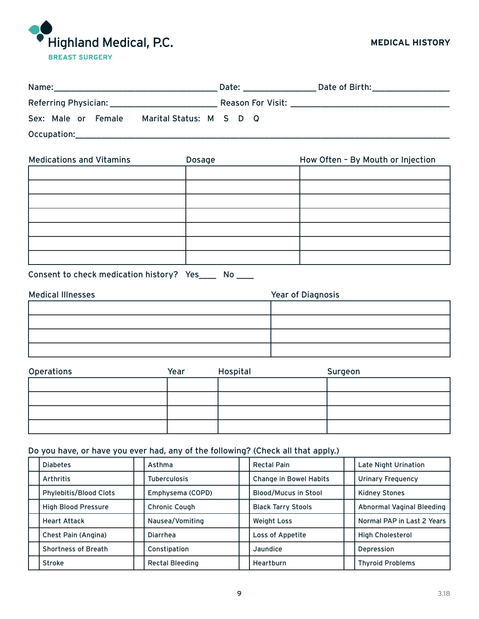

| Name:                                                    | Date:                    | Date of Birth: National Assembly Pate of Birth: |
|----------------------------------------------------------|--------------------------|-------------------------------------------------|
| Referring Physician: Network of the Referring Physician: | <b>Reason For Visit:</b> |                                                 |
| Sex: Male or Female<br>Marital Status: M S D Q           |                          |                                                 |
| Occupation:                                              |                          |                                                 |

| <b>Medications and Vitamins</b> | Dosage | How Often - By Mouth or Injection |
|---------------------------------|--------|-----------------------------------|
|                                 |        |                                   |
|                                 |        |                                   |
|                                 |        |                                   |
|                                 |        |                                   |
|                                 |        |                                   |
|                                 |        |                                   |
|                                 |        |                                   |

| Consent to check medication history? Yes_ |  |  | <b>No</b> |
|-------------------------------------------|--|--|-----------|
|-------------------------------------------|--|--|-----------|

| <b>Medical Illnesses</b> | Year of Diagnosis |
|--------------------------|-------------------|
|                          |                   |
|                          |                   |
|                          |                   |
|                          |                   |

| Operations | Year | Hospital | Surgeon |
|------------|------|----------|---------|
|            |      |          |         |
|            |      |          |         |
|            |      |          |         |
|            |      |          |         |

## Do you have, or have you ever had, any of the following? (Check all that apply.)

| <b>Diabetes</b>               | Asthma                 | <b>Rectal Pain</b>            | Late Night Urination       |
|-------------------------------|------------------------|-------------------------------|----------------------------|
| Arthritis                     | <b>Tuberculosis</b>    | <b>Change in Bowel Habits</b> | <b>Urinary Frequency</b>   |
| <b>Phylebitis/Blood Clots</b> | Emphysema (COPD)       | <b>Blood/Mucus in Stool</b>   | <b>Kidney Stones</b>       |
| <b>High Blood Pressure</b>    | <b>Chronic Cough</b>   | <b>Black Tarry Stools</b>     | Abnormal Vaginal Bleeding  |
| <b>Heart Attack</b>           | Nausea/Vomiting        | <b>Weight Loss</b>            | Normal PAP in Last 2 Years |
| Chest Pain (Angina)           | <b>Diarrhea</b>        | Loss of Appetite              | <b>High Cholesterol</b>    |
| <b>Shortness of Breath</b>    | Constipation           | Jaundice                      | Depression                 |
| <b>Stroke</b>                 | <b>Rectal Bleeding</b> | Heartburn                     | <b>Thyroid Problems</b>    |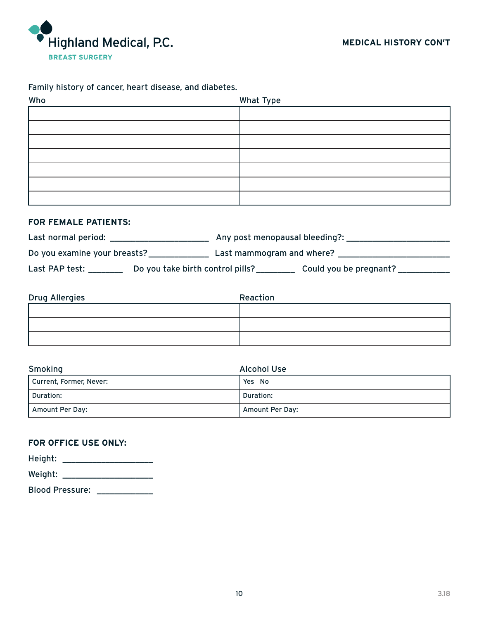

## Family history of cancer, heart disease, and diabetes.

| Who | What Type |
|-----|-----------|
|     |           |
|     |           |
|     |           |
|     |           |
|     |           |
|     |           |
|     |           |

## **FOR FEMALE PATIENTS:**

| Last normal period:          |                                  | Any post menopausal bleeding?: |                        |
|------------------------------|----------------------------------|--------------------------------|------------------------|
| Do you examine your breasts? |                                  | Last mammogram and where?      |                        |
| Last PAP test:               | Do you take birth control pills? |                                | Could you be pregnant? |

| Drug Allergies | Reaction |
|----------------|----------|
|                |          |
|                |          |
|                |          |

| Smoking                 | <b>Alcohol Use</b> |
|-------------------------|--------------------|
| Current, Former, Never: | Yes No             |
| Duration:               | Duration:          |
| Amount Per Day:         | Amount Per Day:    |

## **FOR OFFICE USE ONLY:**

| Height:                |  |
|------------------------|--|
| Weight:                |  |
| <b>Blood Pressure:</b> |  |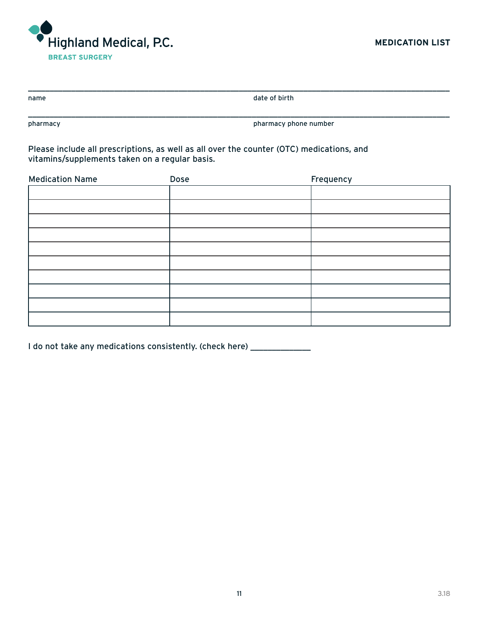

| name | date of birth |
|------|---------------|
|      |               |

pharmacy pharmacy phone number

Please include all prescriptions, as well as all over the counter (OTC) medications, and vitamins/supplements taken on a regular basis.

| <b>Medication Name</b> | Dose | Frequency |
|------------------------|------|-----------|
|                        |      |           |
|                        |      |           |
|                        |      |           |
|                        |      |           |
|                        |      |           |
|                        |      |           |
|                        |      |           |
|                        |      |           |
|                        |      |           |
|                        |      |           |

I do not take any medications consistently. (check here) \_\_\_\_\_\_\_\_\_\_\_\_\_\_\_\_\_\_\_\_\_\_\_